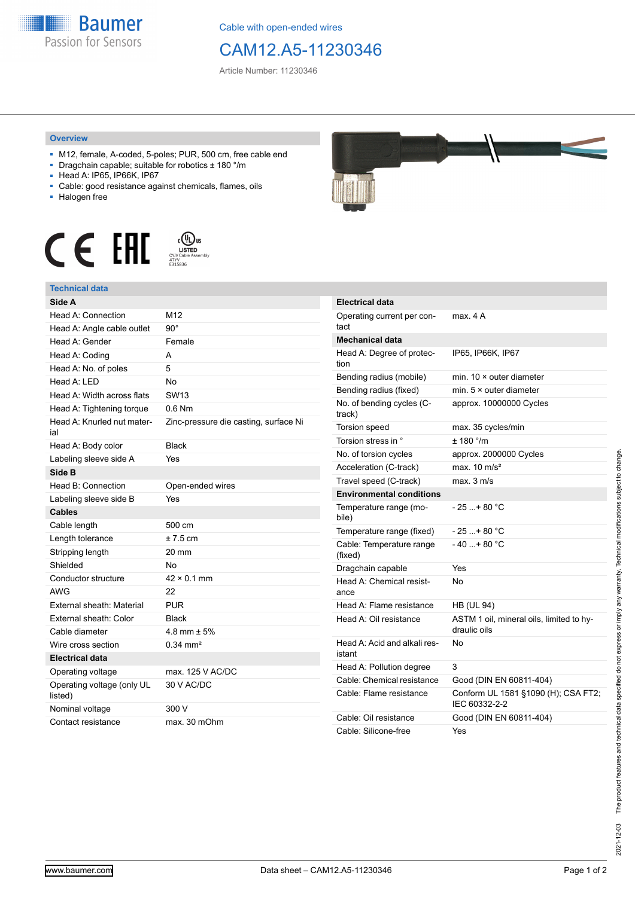

Cable with open-ended wires

## CAM12.A5-11230346

Article Number: 11230346

## **Overview**

- M12, female, A-coded, 5-poles; PUR, 500 cm, free cable end
- Dragchain capable; suitable for robotics ± 180 °/m
- Head A: IP65, IP66K, IP67
- Cable: good resistance against chemicals, flames, oils
- Halogen free





## **Technical data**

| Side A                                |                                       |
|---------------------------------------|---------------------------------------|
| Head A: Connection                    | M12                                   |
| Head A: Angle cable outlet            | 90°                                   |
| Head A: Gender                        | Female                                |
| Head A: Coding                        | A                                     |
| Head A: No. of poles                  | 5                                     |
| Head $A \cdot IFD$                    | No                                    |
| Head A: Width across flats            | SW <sub>13</sub>                      |
| Head A: Tightening torque             | $0.6$ Nm                              |
| Head A: Knurled nut mater-<br>ial     | Zinc-pressure die casting, surface Ni |
| Head A: Body color                    | <b>Black</b>                          |
| Labeling sleeve side A                | Yes                                   |
| Side B                                |                                       |
| Head B: Connection                    | Open-ended wires                      |
| Labeling sleeve side B                | Yes                                   |
| <b>Cables</b>                         |                                       |
| Cable length                          | 500 cm                                |
| Length tolerance                      | $±7.5$ cm                             |
| Stripping length                      | 20 mm                                 |
| Shielded                              | Nο                                    |
| Conductor structure                   | $42 \times 0.1$ mm                    |
| <b>AWG</b>                            | 22                                    |
| External sheath: Material             | <b>PUR</b>                            |
| External sheath: Color                | Black                                 |
| Cable diameter                        | 4.8 mm $\pm$ 5%                       |
| Wire cross section                    | $0.34$ mm <sup>2</sup>                |
| <b>Electrical data</b>                |                                       |
| Operating voltage                     | max. 125 V AC/DC                      |
| Operating voltage (only UL<br>listed) | 30 V AC/DC                            |
| Nominal voltage                       | 300 V                                 |
| Contact resistance                    | max. 30 mOhm                          |



| <b>Electrical data</b>                 |                                                          |
|----------------------------------------|----------------------------------------------------------|
| Operating current per con-<br>tact     | max. 4 A                                                 |
| Mechanical data                        |                                                          |
| Head A: Degree of protec-<br>tion      | IP65, IP66K, IP67                                        |
| Bending radius (mobile)                | min. $10 \times$ outer diameter                          |
| Bending radius (fixed)                 | min. $5 \times$ outer diameter                           |
| No. of bending cycles (C-<br>track)    | approx. 10000000 Cycles                                  |
| Torsion speed                          | max. 35 cycles/min                                       |
| Torsion stress in °                    | ± 180 °/m                                                |
| No. of torsion cycles                  | approx. 2000000 Cycles                                   |
| Acceleration (C-track)                 | max. $10 \text{ m/s}^2$                                  |
| Travel speed (C-track)                 | max. 3 m/s                                               |
| <b>Environmental conditions</b>        |                                                          |
| Temperature range (mo-<br>bile)        | - 25 + 80 °C                                             |
| Temperature range (fixed)              | $-25$ + 80 °C                                            |
| Cable: Temperature range<br>(fixed)    | - 40 + 80 °C                                             |
| Dragchain capable                      | Yes                                                      |
| Head A: Chemical resist-<br>ance       | Nο                                                       |
| Head A: Flame resistance               | <b>HB (UL 94)</b>                                        |
| Head A: Oil resistance                 | ASTM 1 oil, mineral oils, limited to hy-<br>draulic oils |
| Head A: Acid and alkali res-<br>istant | No                                                       |
| Head A: Pollution degree               | 3                                                        |
| Cable: Chemical resistance             | Good (DIN EN 60811-404)                                  |
| Cable: Flame resistance                | Conform UL 1581 §1090 (H); CSA FT2;<br>IEC 60332-2-2     |
| Cable: Oil resistance                  | Good (DIN EN 60811-404)                                  |
| Cable: Silicone-free                   | Yes                                                      |